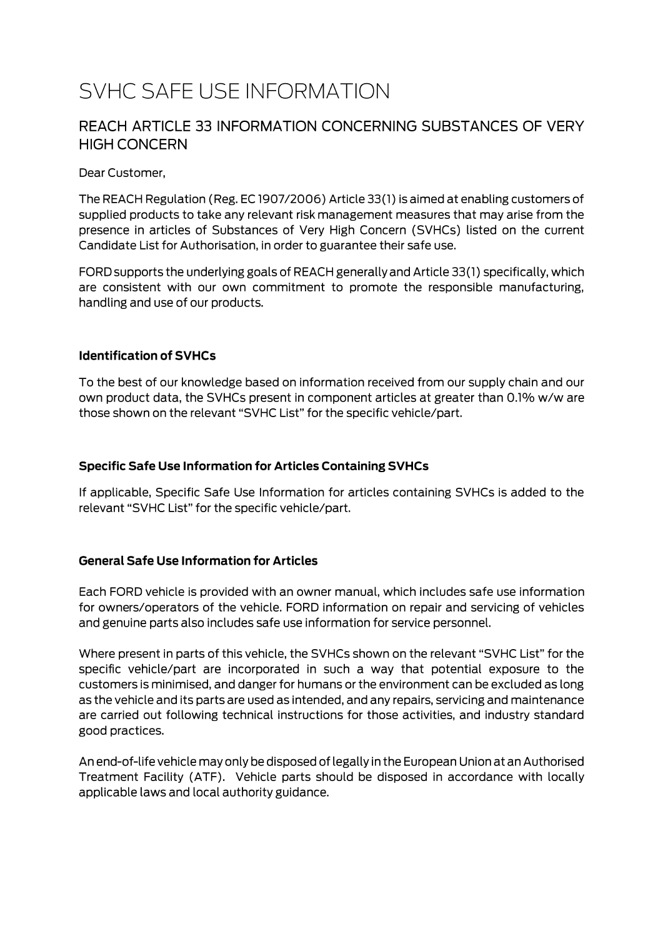# SVHC SAFE USE INFORMATION

### REACH ARTICLE 33 INFORMATION CONCERNING SUBSTANCES OF VERY **HIGH CONCERN**

Dear Customer,

The REACH Regulation (Reg. EC 1907/2006) Article 33(1) is aimed at enabling customers of supplied products to take any relevant risk management measures that may arise from the presence in articles of Substances of Very High Concern (SVHCs) listed on the current Candidate List for Authorisation, in order to guarantee their safe use.

FORD supports the underlying goals of REACH generally and Article 33(1) specifically, which are consistent with our own commitment to promote the responsible manufacturing, handling and use of our products.

#### **Identification of SVHCs**

To the best of our knowledge based on information received from our supply chain and our own product data, the SVHCs present in component articles at greater than 0.1% w/w are those shown on the relevant "SVHC List" for the specific vehicle/part.

#### **Specific Safe Use Information for Articles Containing SVHCs**

If applicable, Specific Safe Use Information for articles containing SVHCs is added to the relevant "SVHC List" for the specific vehicle/part.

#### **General Safe Use Information for Articles**

Each FORD vehicle is provided with an owner manual, which includes safe use information for owners/operators of the vehicle. FORD information on repair and servicing of vehicles and genuine parts also includes safe use information for service personnel.

Where present in parts of this vehicle, the SVHCs shown on the relevant "SVHC List" for the specific vehicle/part are incorporated in such a way that potential exposure to the customers is minimised, and danger for humans or the environment can be excluded as long as the vehicle and its parts are used as intended, and any repairs, servicing and maintenance are carried out following technical instructions for those activities, and industry standard good practices.

An end-of-life vehicle may only be disposed of legally in the European Union at an Authorised Treatment Facility (ATF). Vehicle parts should be disposed in accordance with locally applicable laws and local authority guidance.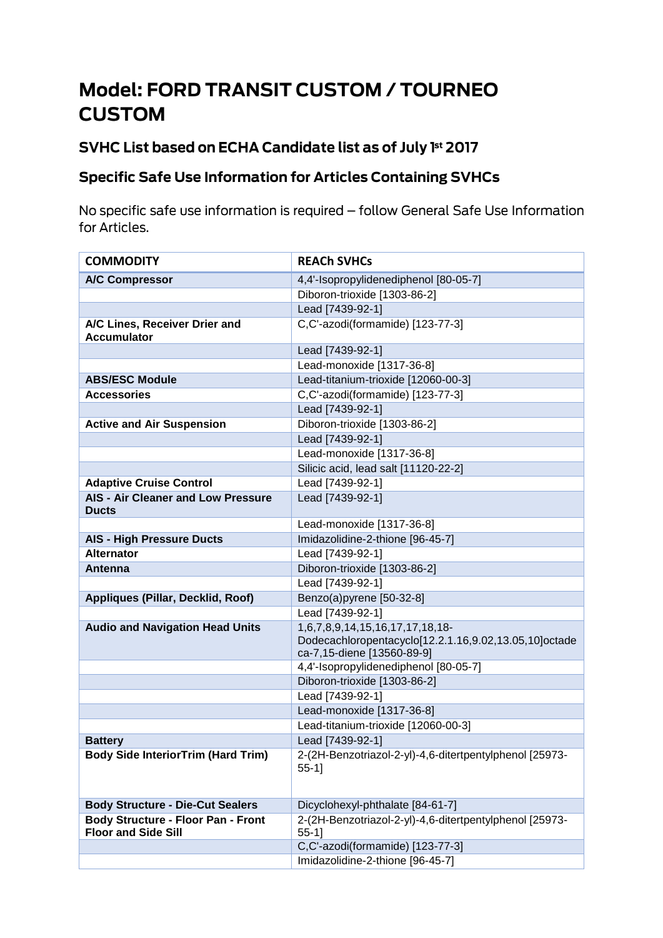# **Model: FORD TRANSIT CUSTOM / TOURNEO CUSTOM**

# SVHC List based on ECHA Candidate list as of July 1st 2017

## **Specific Safe Use Information for Articles Containing SVHCs**

No specific safe use information is required - follow General Safe Use Information for Articles.

| <b>COMMODITY</b>                                                        | <b>REACH SVHCs</b>                                                                                                     |
|-------------------------------------------------------------------------|------------------------------------------------------------------------------------------------------------------------|
| <b>A/C Compressor</b>                                                   | 4,4'-Isopropylidenediphenol [80-05-7]                                                                                  |
|                                                                         | Diboron-trioxide [1303-86-2]                                                                                           |
|                                                                         | Lead [7439-92-1]                                                                                                       |
| A/C Lines, Receiver Drier and<br><b>Accumulator</b>                     | C,C'-azodi(formamide) [123-77-3]                                                                                       |
|                                                                         | Lead [7439-92-1]                                                                                                       |
|                                                                         | Lead-monoxide [1317-36-8]                                                                                              |
| <b>ABS/ESC Module</b>                                                   | Lead-titanium-trioxide [12060-00-3]                                                                                    |
| <b>Accessories</b>                                                      | C,C'-azodi(formamide) [123-77-3]                                                                                       |
|                                                                         | Lead [7439-92-1]                                                                                                       |
| <b>Active and Air Suspension</b>                                        | Diboron-trioxide [1303-86-2]                                                                                           |
|                                                                         | Lead [7439-92-1]                                                                                                       |
|                                                                         | Lead-monoxide [1317-36-8]                                                                                              |
|                                                                         | Silicic acid, lead salt [11120-22-2]                                                                                   |
| <b>Adaptive Cruise Control</b>                                          | Lead [7439-92-1]                                                                                                       |
| AIS - Air Cleaner and Low Pressure<br><b>Ducts</b>                      | Lead [7439-92-1]                                                                                                       |
|                                                                         | Lead-monoxide [1317-36-8]                                                                                              |
| <b>AIS - High Pressure Ducts</b>                                        | Imidazolidine-2-thione [96-45-7]                                                                                       |
| <b>Alternator</b>                                                       | Lead [7439-92-1]                                                                                                       |
| Antenna                                                                 | Diboron-trioxide [1303-86-2]                                                                                           |
|                                                                         | Lead [7439-92-1]                                                                                                       |
| <b>Appliques (Pillar, Decklid, Roof)</b>                                | Benzo(a)pyrene [50-32-8]                                                                                               |
|                                                                         | Lead [7439-92-1]                                                                                                       |
| <b>Audio and Navigation Head Units</b>                                  | 1,6,7,8,9,14,15,16,17,17,18,18-<br>Dodecachloropentacyclo[12.2.1.16,9.02,13.05,10]octade<br>ca-7,15-diene [13560-89-9] |
|                                                                         | 4,4'-Isopropylidenediphenol [80-05-7]                                                                                  |
|                                                                         | Diboron-trioxide [1303-86-2]                                                                                           |
|                                                                         | Lead [7439-92-1]                                                                                                       |
|                                                                         | Lead-monoxide [1317-36-8]                                                                                              |
|                                                                         | Lead-titanium-trioxide [12060-00-3]                                                                                    |
| <b>Battery</b>                                                          | Lead [7439-92-1]                                                                                                       |
| <b>Body Side InteriorTrim (Hard Trim)</b>                               | 2-(2H-Benzotriazol-2-yl)-4,6-ditertpentylphenol [25973-<br>$55-1$ ]                                                    |
| <b>Body Structure - Die-Cut Sealers</b>                                 | Dicyclohexyl-phthalate [84-61-7]                                                                                       |
| <b>Body Structure - Floor Pan - Front</b><br><b>Floor and Side Sill</b> | 2-(2H-Benzotriazol-2-yl)-4,6-ditertpentylphenol [25973-<br>$55-1$ ]                                                    |
|                                                                         | C,C'-azodi(formamide) [123-77-3]                                                                                       |
|                                                                         | Imidazolidine-2-thione [96-45-7]                                                                                       |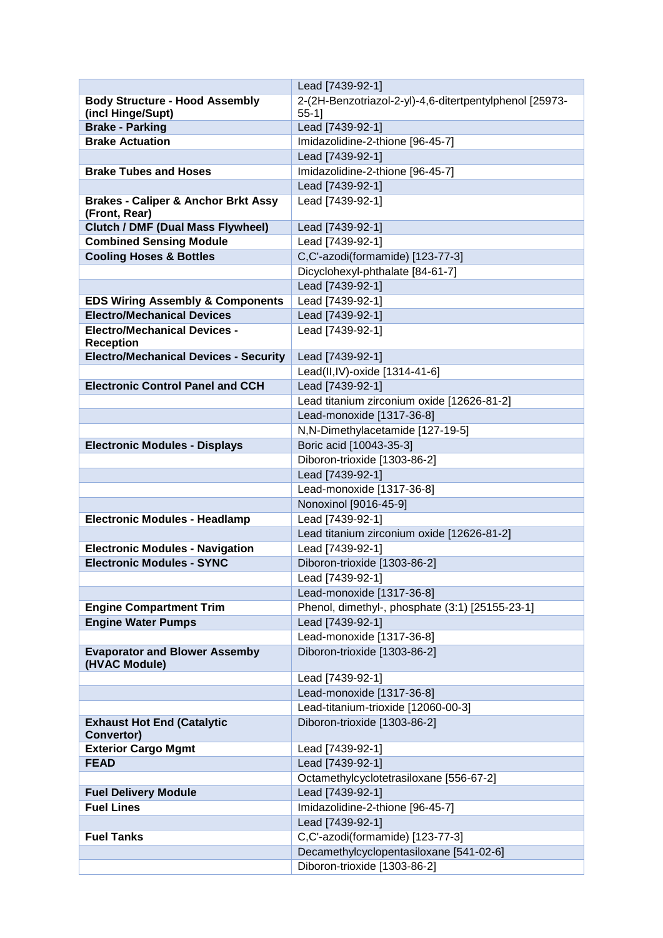|                                                | Lead [7439-92-1]                                        |
|------------------------------------------------|---------------------------------------------------------|
| <b>Body Structure - Hood Assembly</b>          | 2-(2H-Benzotriazol-2-yl)-4,6-ditertpentylphenol [25973- |
| (incl Hinge/Supt)                              | $55-1$ ]                                                |
| <b>Brake - Parking</b>                         | Lead [7439-92-1]                                        |
| <b>Brake Actuation</b>                         | Imidazolidine-2-thione [96-45-7]                        |
|                                                | Lead [7439-92-1]                                        |
| <b>Brake Tubes and Hoses</b>                   | Imidazolidine-2-thione [96-45-7]                        |
|                                                | Lead [7439-92-1]                                        |
| <b>Brakes - Caliper &amp; Anchor Brkt Assy</b> | Lead [7439-92-1]                                        |
| (Front, Rear)                                  |                                                         |
| <b>Clutch / DMF (Dual Mass Flywheel)</b>       | Lead [7439-92-1]                                        |
| <b>Combined Sensing Module</b>                 | Lead [7439-92-1]                                        |
| <b>Cooling Hoses &amp; Bottles</b>             | C,C'-azodi(formamide) [123-77-3]                        |
|                                                | Dicyclohexyl-phthalate [84-61-7]                        |
|                                                | Lead [7439-92-1]                                        |
| <b>EDS Wiring Assembly &amp; Components</b>    | Lead [7439-92-1]                                        |
| <b>Electro/Mechanical Devices</b>              | Lead [7439-92-1]                                        |
| <b>Electro/Mechanical Devices -</b>            | Lead [7439-92-1]                                        |
| <b>Reception</b>                               |                                                         |
| <b>Electro/Mechanical Devices - Security</b>   | Lead [7439-92-1]                                        |
|                                                | Lead(II,IV)-oxide [1314-41-6]                           |
| <b>Electronic Control Panel and CCH</b>        | Lead [7439-92-1]                                        |
|                                                | Lead titanium zirconium oxide [12626-81-2]              |
|                                                | Lead-monoxide [1317-36-8]                               |
|                                                | N,N-Dimethylacetamide [127-19-5]                        |
| <b>Electronic Modules - Displays</b>           | Boric acid [10043-35-3]                                 |
|                                                | Diboron-trioxide [1303-86-2]                            |
|                                                | Lead [7439-92-1]                                        |
|                                                | Lead-monoxide [1317-36-8]                               |
|                                                | Nonoxinol [9016-45-9]                                   |
|                                                | Lead [7439-92-1]                                        |
| <b>Electronic Modules - Headlamp</b>           |                                                         |
|                                                | Lead titanium zirconium oxide [12626-81-2]              |
| <b>Electronic Modules - Navigation</b>         | Lead [7439-92-1]                                        |
| <b>Electronic Modules - SYNC</b>               | Diboron-trioxide [1303-86-2]                            |
|                                                | Lead [7439-92-1]                                        |
|                                                | Lead-monoxide [1317-36-8]                               |
| <b>Engine Compartment Trim</b>                 | Phenol, dimethyl-, phosphate (3:1) [25155-23-1]         |
| <b>Engine Water Pumps</b>                      | Lead [7439-92-1]                                        |
|                                                | Lead-monoxide [1317-36-8]                               |
| <b>Evaporator and Blower Assemby</b>           | Diboron-trioxide [1303-86-2]                            |
| (HVAC Module)                                  |                                                         |
|                                                | Lead [7439-92-1]                                        |
|                                                | Lead-monoxide [1317-36-8]                               |
|                                                | Lead-titanium-trioxide [12060-00-3]                     |
| <b>Exhaust Hot End (Catalytic</b>              | Diboron-trioxide [1303-86-2]                            |
| Convertor)                                     |                                                         |
| <b>Exterior Cargo Mgmt</b>                     | Lead [7439-92-1]                                        |
| <b>FEAD</b>                                    | Lead [7439-92-1]                                        |
|                                                | Octamethylcyclotetrasiloxane [556-67-2]                 |
| <b>Fuel Delivery Module</b>                    | Lead [7439-92-1]                                        |
| <b>Fuel Lines</b>                              | Imidazolidine-2-thione [96-45-7]                        |
|                                                | Lead [7439-92-1]                                        |
| <b>Fuel Tanks</b>                              | C,C'-azodi(formamide) [123-77-3]                        |
|                                                | Decamethylcyclopentasiloxane [541-02-6]                 |
|                                                | Diboron-trioxide [1303-86-2]                            |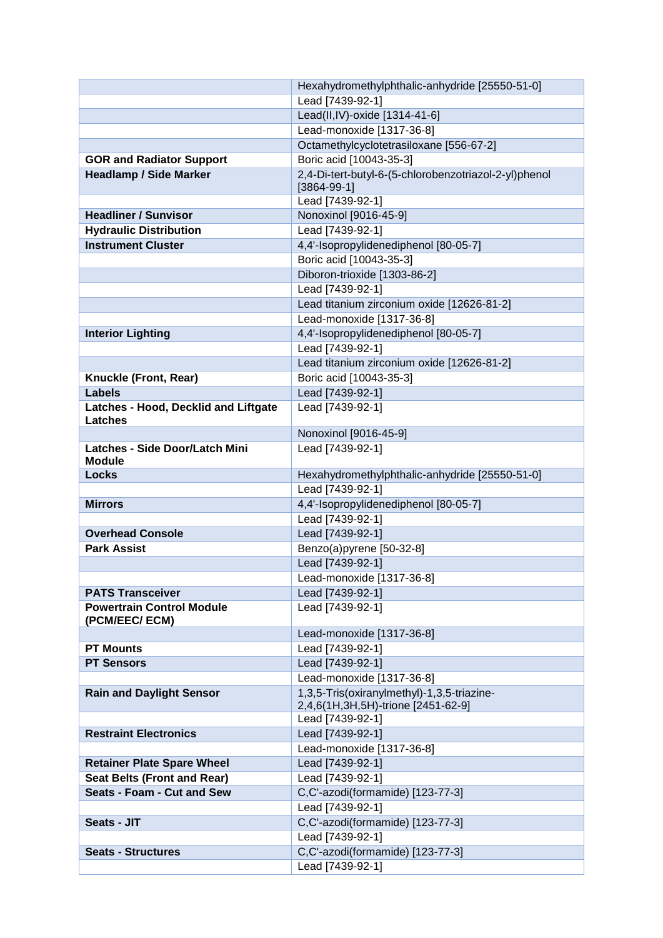|                                       | Hexahydromethylphthalic-anhydride [25550-51-0]        |
|---------------------------------------|-------------------------------------------------------|
|                                       | Lead [7439-92-1]                                      |
|                                       | Lead(II,IV)-oxide [1314-41-6]                         |
|                                       | Lead-monoxide [1317-36-8]                             |
|                                       | Octamethylcyclotetrasiloxane [556-67-2]               |
| <b>GOR and Radiator Support</b>       | Boric acid [10043-35-3]                               |
| <b>Headlamp / Side Marker</b>         | 2,4-Di-tert-butyl-6-(5-chlorobenzotriazol-2-yl)phenol |
|                                       | $[3864-99-1]$                                         |
|                                       | Lead [7439-92-1]                                      |
| <b>Headliner / Sunvisor</b>           | Nonoxinol [9016-45-9]                                 |
| <b>Hydraulic Distribution</b>         | Lead [7439-92-1]                                      |
| <b>Instrument Cluster</b>             | 4,4'-Isopropylidenediphenol [80-05-7]                 |
|                                       | Boric acid [10043-35-3]                               |
|                                       | Diboron-trioxide [1303-86-2]                          |
|                                       | Lead [7439-92-1]                                      |
|                                       | Lead titanium zirconium oxide [12626-81-2]            |
|                                       | Lead-monoxide [1317-36-8]                             |
|                                       | 4,4'-Isopropylidenediphenol [80-05-7]                 |
| <b>Interior Lighting</b>              | Lead [7439-92-1]                                      |
|                                       |                                                       |
|                                       | Lead titanium zirconium oxide [12626-81-2]            |
| Knuckle (Front, Rear)                 | Boric acid [10043-35-3]                               |
| <b>Labels</b>                         | Lead [7439-92-1]                                      |
| Latches - Hood, Decklid and Liftgate  | Lead [7439-92-1]                                      |
| <b>Latches</b>                        |                                                       |
| <b>Latches - Side Door/Latch Mini</b> | Nonoxinol [9016-45-9]                                 |
| <b>Module</b>                         | Lead [7439-92-1]                                      |
| <b>Locks</b>                          | Hexahydromethylphthalic-anhydride [25550-51-0]        |
|                                       | Lead [7439-92-1]                                      |
| <b>Mirrors</b>                        | 4,4'-Isopropylidenediphenol [80-05-7]                 |
|                                       | Lead [7439-92-1]                                      |
| <b>Overhead Console</b>               | Lead [7439-92-1]                                      |
| <b>Park Assist</b>                    | Benzo(a)pyrene [50-32-8]                              |
|                                       | Lead [7439-92-1]                                      |
|                                       | Lead-monoxide [1317-36-8]                             |
| <b>PATS Transceiver</b>               | Lead [7439-92-1]                                      |
| <b>Powertrain Control Module</b>      |                                                       |
| (PCM/EEC/ ECM)                        | Lead [7439-92-1]                                      |
|                                       | Lead-monoxide [1317-36-8]                             |
| <b>PT Mounts</b>                      | Lead [7439-92-1]                                      |
| <b>PT Sensors</b>                     | Lead [7439-92-1]                                      |
|                                       | Lead-monoxide [1317-36-8]                             |
| <b>Rain and Daylight Sensor</b>       | 1,3,5-Tris(oxiranylmethyl)-1,3,5-triazine-            |
|                                       | 2,4,6(1H,3H,5H)-trione [2451-62-9]                    |
|                                       | Lead [7439-92-1]                                      |
| <b>Restraint Electronics</b>          | Lead [7439-92-1]                                      |
|                                       | Lead-monoxide [1317-36-8]                             |
| <b>Retainer Plate Spare Wheel</b>     | Lead [7439-92-1]                                      |
| <b>Seat Belts (Front and Rear)</b>    | Lead [7439-92-1]                                      |
| Seats - Foam - Cut and Sew            | C,C'-azodi(formamide) [123-77-3]                      |
|                                       | Lead [7439-92-1]                                      |
| Seats - JIT                           | C,C'-azodi(formamide) [123-77-3]                      |
|                                       | Lead [7439-92-1]                                      |
|                                       | C,C'-azodi(formamide) [123-77-3]                      |
| <b>Seats - Structures</b>             |                                                       |
|                                       | Lead [7439-92-1]                                      |